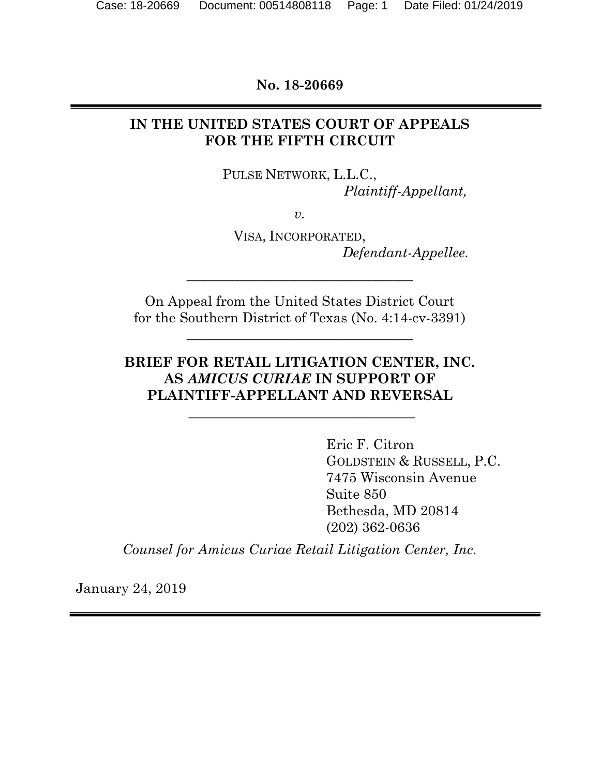**No. 18-20669** 

## **IN THE UNITED STATES COURT OF APPEALS FOR THE FIFTH CIRCUIT**

PULSE NETWORK, L.L.C., *Plaintiff-Appellant,* 

*v.* 

VISA, INCORPORATED, *Defendant-Appellee.* 

On Appeal from the United States District Court for the Southern District of Texas (No. 4:14-cv-3391)

**\_\_\_\_\_\_\_\_\_\_\_\_\_\_\_\_\_\_\_\_\_\_\_\_\_\_\_\_\_\_\_\_\_** 

\_\_\_\_\_\_\_\_\_\_\_\_\_\_\_\_\_\_\_\_\_\_\_\_\_\_\_\_\_\_\_\_\_

## **BRIEF FOR RETAIL LITIGATION CENTER, INC. AS** *AMICUS CURIAE* **IN SUPPORT OF PLAINTIFF-APPELLANT AND REVERSAL**

 **\_\_\_\_\_\_\_\_\_\_\_\_\_\_\_\_\_\_\_\_\_\_\_\_\_\_\_\_\_\_\_\_\_** 

 Eric F. Citron GOLDSTEIN & RUSSELL, P.C. 7475 Wisconsin Avenue Suite 850 Bethesda, MD 20814 (202) 362-0636

*Counsel for Amicus Curiae Retail Litigation Center, Inc.* 

January 24, 2019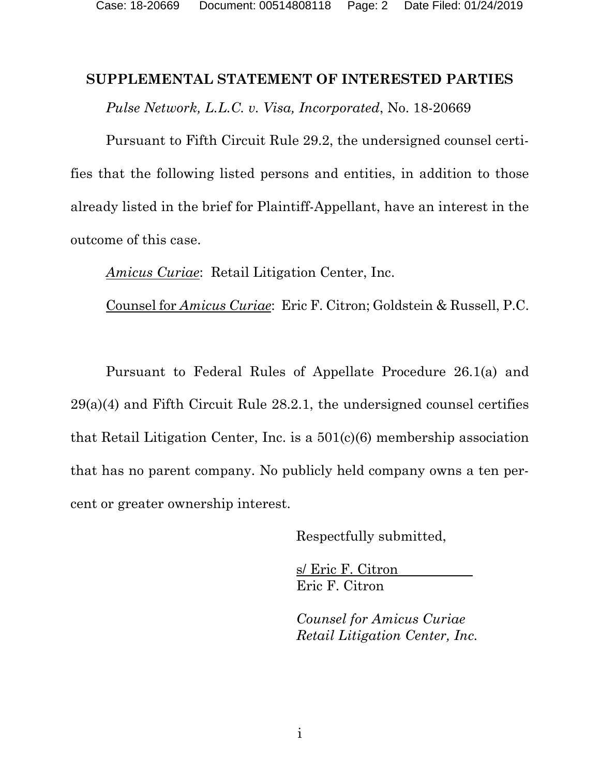### **SUPPLEMENTAL STATEMENT OF INTERESTED PARTIES**

*Pulse Network, L.L.C. v. Visa, Incorporated*, No. 18-20669

Pursuant to Fifth Circuit Rule 29.2, the undersigned counsel certifies that the following listed persons and entities, in addition to those already listed in the brief for Plaintiff-Appellant, have an interest in the outcome of this case.

*Amicus Curiae*: Retail Litigation Center, Inc.

Counsel for *Amicus Curiae*: Eric F. Citron; Goldstein & Russell, P.C.

Pursuant to Federal Rules of Appellate Procedure 26.1(a) and  $29(a)(4)$  and Fifth Circuit Rule 28.2.1, the undersigned counsel certifies that Retail Litigation Center, Inc. is a 501(c)(6) membership association that has no parent company. No publicly held company owns a ten percent or greater ownership interest.

Respectfully submitted,

 s/ Eric F. Citron Eric F. Citron

*Counsel for Amicus Curiae Retail Litigation Center, Inc.*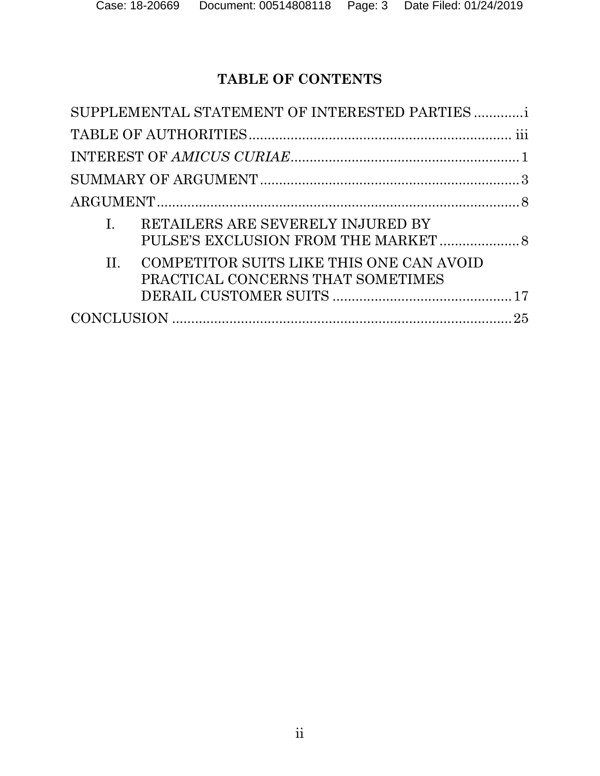# **TABLE OF CONTENTS**

| SUPPLEMENTAL STATEMENT OF INTERESTED PARTIES                                           |  |
|----------------------------------------------------------------------------------------|--|
|                                                                                        |  |
|                                                                                        |  |
|                                                                                        |  |
|                                                                                        |  |
| RETAILERS ARE SEVERELY INJURED BY                                                      |  |
| COMPETITOR SUITS LIKE THIS ONE CAN AVOID<br>$\Pi$<br>PRACTICAL CONCERNS THAT SOMETIMES |  |
|                                                                                        |  |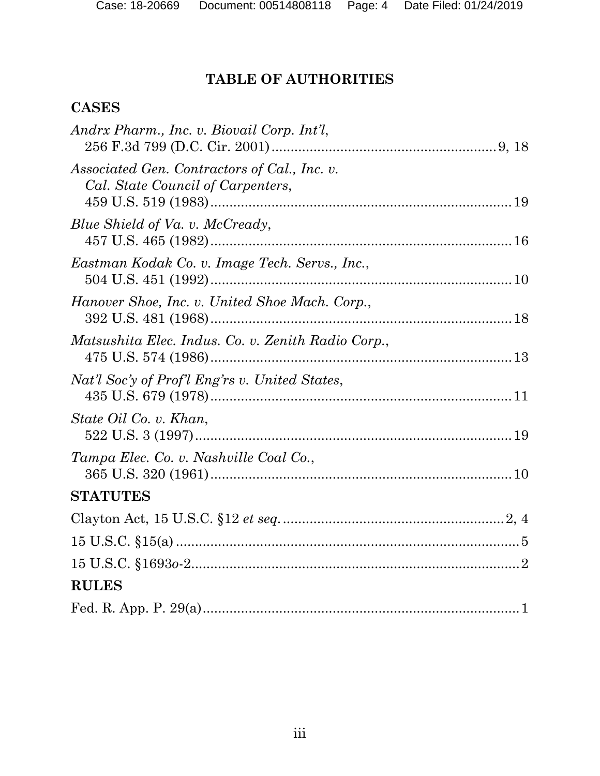# **TABLE OF AUTHORITIES**

# **CASES**

| Andrx Pharm., Inc. v. Biovail Corp. Int'l,                                        |
|-----------------------------------------------------------------------------------|
| Associated Gen. Contractors of Cal., Inc. v.<br>Cal. State Council of Carpenters, |
| Blue Shield of Va. v. McCready,                                                   |
| Eastman Kodak Co. v. Image Tech. Servs., Inc.,                                    |
| Hanover Shoe, Inc. v. United Shoe Mach. Corp.,                                    |
| Matsushita Elec. Indus. Co. v. Zenith Radio Corp.,                                |
| Nat'l Soc'y of Prof'l Eng'rs v. United States,                                    |
| State Oil Co. v. Khan,                                                            |
| Tampa Elec. Co. v. Nashville Coal Co.,                                            |
| <b>STATUTES</b>                                                                   |
|                                                                                   |
|                                                                                   |
|                                                                                   |
| <b>RULES</b>                                                                      |
|                                                                                   |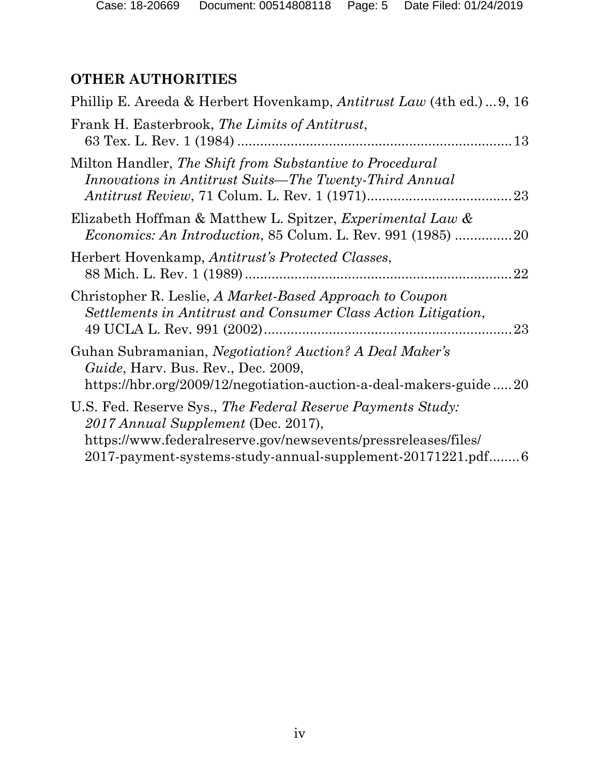# **OTHER AUTHORITIES**

| Phillip E. Areeda & Herbert Hovenkamp, <i>Antitrust Law</i> (4th ed.)9, 16                                                                                                                                                          |
|-------------------------------------------------------------------------------------------------------------------------------------------------------------------------------------------------------------------------------------|
| Frank H. Easterbrook, The Limits of Antitrust,                                                                                                                                                                                      |
| Milton Handler, The Shift from Substantive to Procedural<br>Innovations in Antitrust Suits—The Twenty-Third Annual                                                                                                                  |
| Elizabeth Hoffman & Matthew L. Spitzer, <i>Experimental Law &amp;</i><br><i>Economics: An Introduction, 85 Colum. L. Rev. 991 (1985) 20</i>                                                                                         |
| Herbert Hovenkamp, Antitrust's Protected Classes,<br>22                                                                                                                                                                             |
| Christopher R. Leslie, A Market-Based Approach to Coupon<br>Settlements in Antitrust and Consumer Class Action Litigation,                                                                                                          |
| Guhan Subramanian, <i>Negotiation? Auction? A Deal Maker's</i><br>Guide, Harv. Bus. Rev., Dec. 2009,<br>https://hbr.org/2009/12/negotiation-auction-a-deal-makers-guide20                                                           |
| U.S. Fed. Reserve Sys., The Federal Reserve Payments Study:<br>2017 Annual Supplement (Dec. 2017),<br>https://www.federalreserve.gov/newsevents/pressreleases/files/<br>2017-payment-systems-study-annual-supplement-20171221.pdf 6 |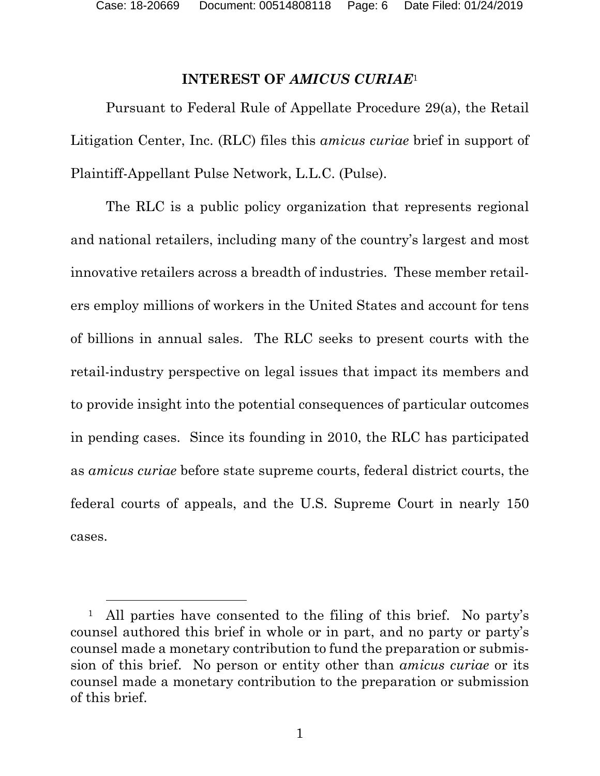Case: 18-20669 Document: 00514808118 Page: 6 Date Filed: 01/24/2019

### **INTEREST OF** *AMICUS CURIAE*<sup>1</sup>

Pursuant to Federal Rule of Appellate Procedure 29(a), the Retail Litigation Center, Inc. (RLC) files this *amicus curiae* brief in support of Plaintiff-Appellant Pulse Network, L.L.C. (Pulse).

The RLC is a public policy organization that represents regional and national retailers, including many of the country's largest and most innovative retailers across a breadth of industries. These member retailers employ millions of workers in the United States and account for tens of billions in annual sales. The RLC seeks to present courts with the retail-industry perspective on legal issues that impact its members and to provide insight into the potential consequences of particular outcomes in pending cases. Since its founding in 2010, the RLC has participated as *amicus curiae* before state supreme courts, federal district courts, the federal courts of appeals, and the U.S. Supreme Court in nearly 150 cases.

<sup>&</sup>lt;sup>1</sup> All parties have consented to the filing of this brief. No party's counsel authored this brief in whole or in part, and no party or party's counsel made a monetary contribution to fund the preparation or submission of this brief. No person or entity other than *amicus curiae* or its counsel made a monetary contribution to the preparation or submission of this brief.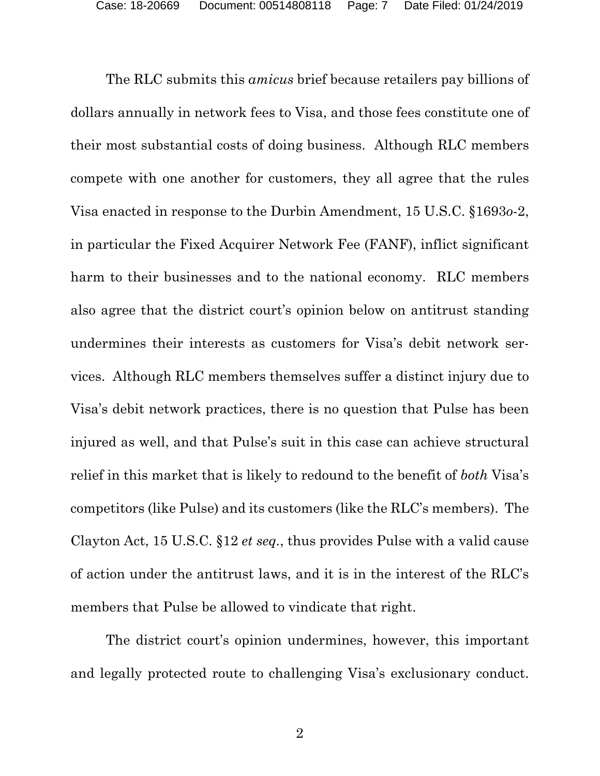The RLC submits this *amicus* brief because retailers pay billions of dollars annually in network fees to Visa, and those fees constitute one of their most substantial costs of doing business. Although RLC members compete with one another for customers, they all agree that the rules Visa enacted in response to the Durbin Amendment, 15 U.S.C. §1693*o*-2, in particular the Fixed Acquirer Network Fee (FANF), inflict significant harm to their businesses and to the national economy. RLC members also agree that the district court's opinion below on antitrust standing undermines their interests as customers for Visa's debit network services. Although RLC members themselves suffer a distinct injury due to Visa's debit network practices, there is no question that Pulse has been injured as well, and that Pulse's suit in this case can achieve structural relief in this market that is likely to redound to the benefit of *both* Visa's competitors (like Pulse) and its customers (like the RLC's members). The Clayton Act, 15 U.S.C. §12 *et seq.*, thus provides Pulse with a valid cause of action under the antitrust laws, and it is in the interest of the RLC's members that Pulse be allowed to vindicate that right.

The district court's opinion undermines, however, this important and legally protected route to challenging Visa's exclusionary conduct.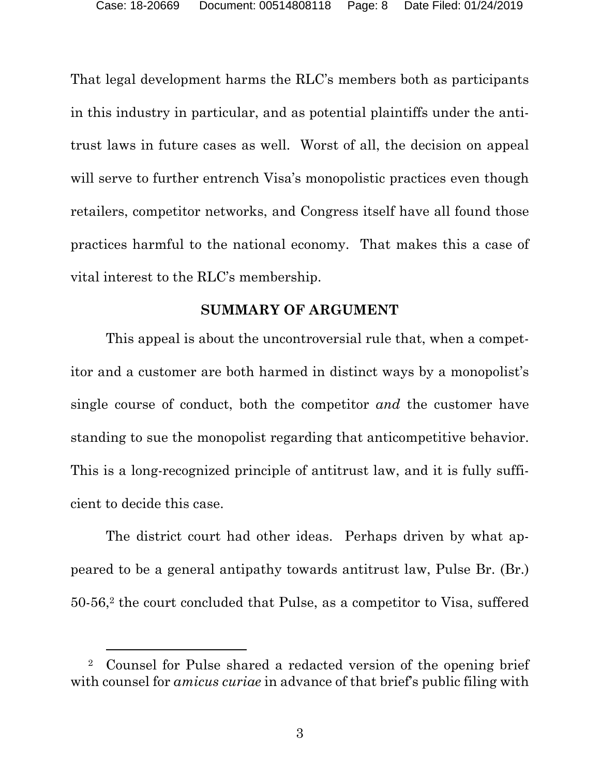That legal development harms the RLC's members both as participants in this industry in particular, and as potential plaintiffs under the antitrust laws in future cases as well. Worst of all, the decision on appeal will serve to further entrench Visa's monopolistic practices even though retailers, competitor networks, and Congress itself have all found those practices harmful to the national economy. That makes this a case of vital interest to the RLC's membership.

### **SUMMARY OF ARGUMENT**

This appeal is about the uncontroversial rule that, when a competitor and a customer are both harmed in distinct ways by a monopolist's single course of conduct, both the competitor *and* the customer have standing to sue the monopolist regarding that anticompetitive behavior. This is a long-recognized principle of antitrust law, and it is fully sufficient to decide this case.

The district court had other ideas. Perhaps driven by what appeared to be a general antipathy towards antitrust law, Pulse Br. (Br.) 50-56,2 the court concluded that Pulse, as a competitor to Visa, suffered

 <sup>2</sup> Counsel for Pulse shared a redacted version of the opening brief with counsel for *amicus curiae* in advance of that brief's public filing with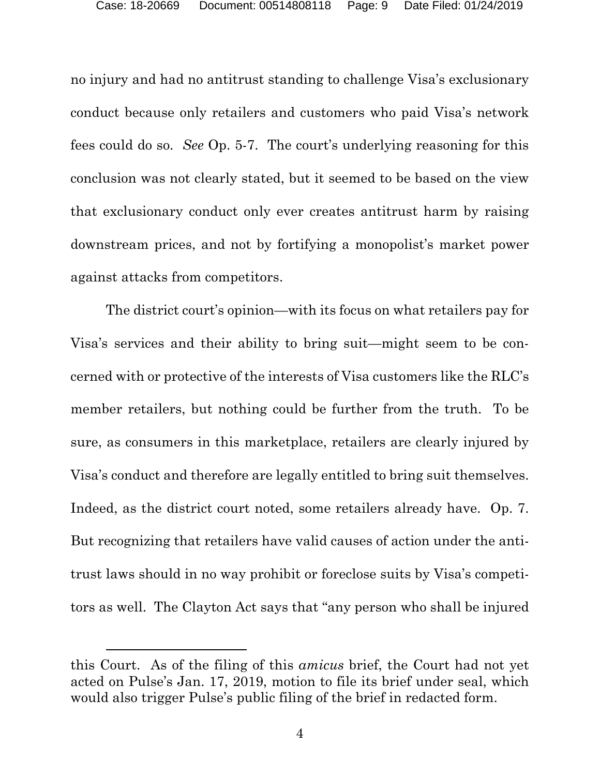no injury and had no antitrust standing to challenge Visa's exclusionary conduct because only retailers and customers who paid Visa's network fees could do so. *See* Op. 5-7. The court's underlying reasoning for this conclusion was not clearly stated, but it seemed to be based on the view that exclusionary conduct only ever creates antitrust harm by raising downstream prices, and not by fortifying a monopolist's market power against attacks from competitors.

The district court's opinion—with its focus on what retailers pay for Visa's services and their ability to bring suit—might seem to be concerned with or protective of the interests of Visa customers like the RLC's member retailers, but nothing could be further from the truth. To be sure, as consumers in this marketplace, retailers are clearly injured by Visa's conduct and therefore are legally entitled to bring suit themselves. Indeed, as the district court noted, some retailers already have. Op. 7. But recognizing that retailers have valid causes of action under the antitrust laws should in no way prohibit or foreclose suits by Visa's competitors as well. The Clayton Act says that "any person who shall be injured

 $\overline{a}$ 

this Court. As of the filing of this *amicus* brief, the Court had not yet acted on Pulse's Jan. 17, 2019, motion to file its brief under seal, which would also trigger Pulse's public filing of the brief in redacted form.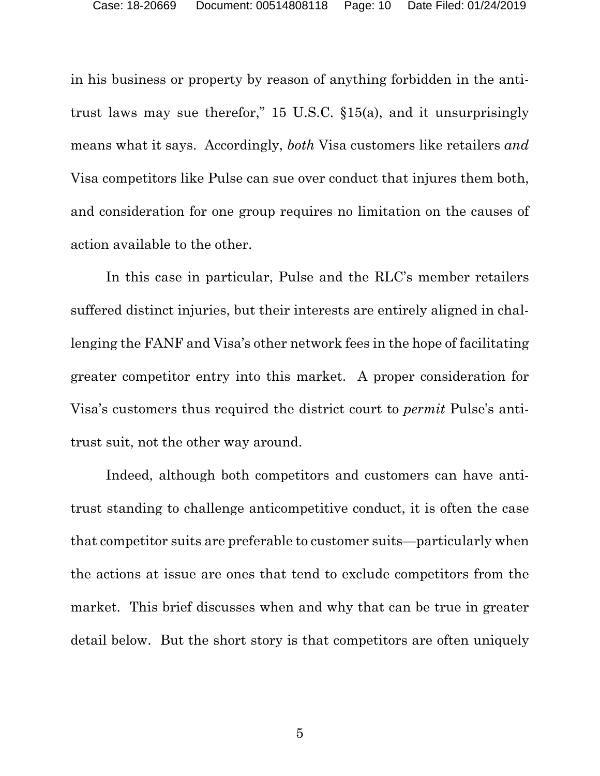in his business or property by reason of anything forbidden in the antitrust laws may sue therefor," 15 U.S.C. §15(a), and it unsurprisingly means what it says. Accordingly, *both* Visa customers like retailers *and* Visa competitors like Pulse can sue over conduct that injures them both, and consideration for one group requires no limitation on the causes of action available to the other.

In this case in particular, Pulse and the RLC's member retailers suffered distinct injuries, but their interests are entirely aligned in challenging the FANF and Visa's other network fees in the hope of facilitating greater competitor entry into this market. A proper consideration for Visa's customers thus required the district court to *permit* Pulse's antitrust suit, not the other way around.

Indeed, although both competitors and customers can have antitrust standing to challenge anticompetitive conduct, it is often the case that competitor suits are preferable to customer suits—particularly when the actions at issue are ones that tend to exclude competitors from the market. This brief discusses when and why that can be true in greater detail below. But the short story is that competitors are often uniquely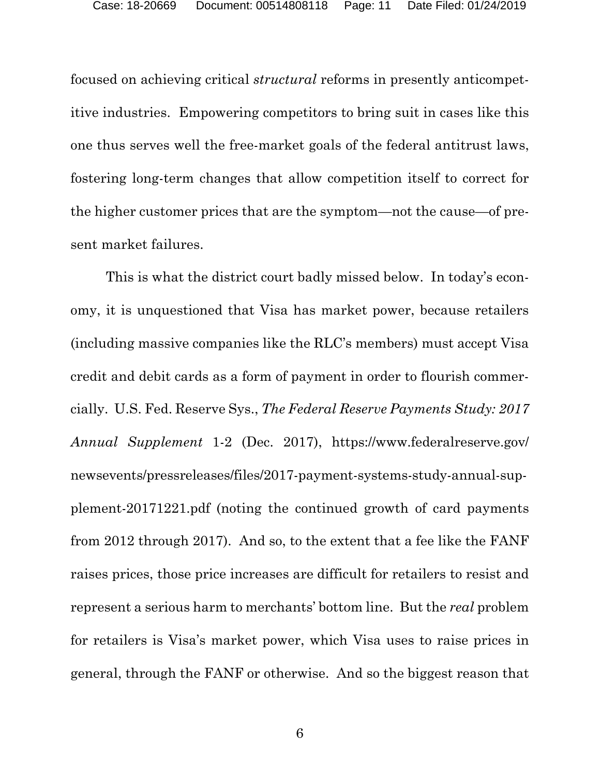focused on achieving critical *structural* reforms in presently anticompetitive industries. Empowering competitors to bring suit in cases like this one thus serves well the free-market goals of the federal antitrust laws, fostering long-term changes that allow competition itself to correct for the higher customer prices that are the symptom—not the cause—of present market failures.

This is what the district court badly missed below. In today's economy, it is unquestioned that Visa has market power, because retailers (including massive companies like the RLC's members) must accept Visa credit and debit cards as a form of payment in order to flourish commercially. U.S. Fed. Reserve Sys., *The Federal Reserve Payments Study: 2017 Annual Supplement* 1-2 (Dec. 2017), https://www.federalreserve.gov/ newsevents/pressreleases/files/2017-payment-systems-study-annual-supplement-20171221.pdf (noting the continued growth of card payments from 2012 through 2017). And so, to the extent that a fee like the FANF raises prices, those price increases are difficult for retailers to resist and represent a serious harm to merchants' bottom line. But the *real* problem for retailers is Visa's market power, which Visa uses to raise prices in general, through the FANF or otherwise. And so the biggest reason that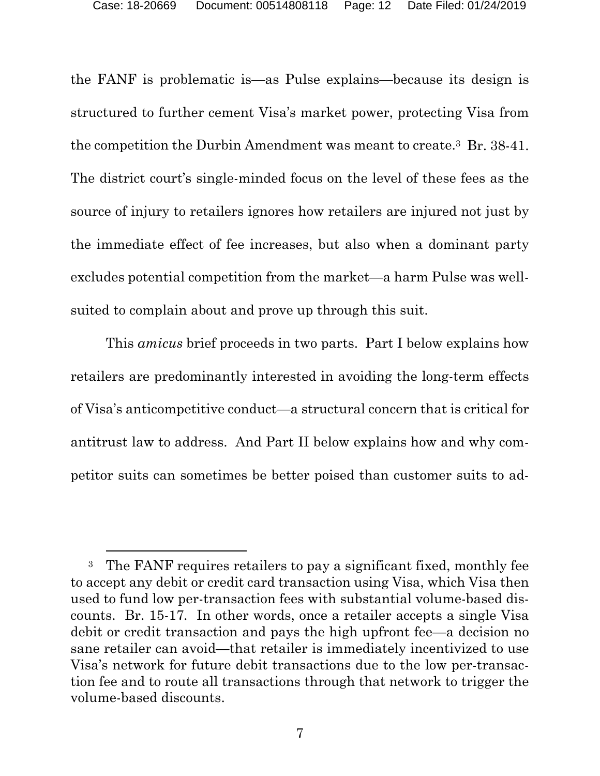the FANF is problematic is—as Pulse explains—because its design is structured to further cement Visa's market power, protecting Visa from the competition the Durbin Amendment was meant to create.3 Br. 38-41. The district court's single-minded focus on the level of these fees as the source of injury to retailers ignores how retailers are injured not just by the immediate effect of fee increases, but also when a dominant party excludes potential competition from the market—a harm Pulse was wellsuited to complain about and prove up through this suit.

This *amicus* brief proceeds in two parts. Part I below explains how retailers are predominantly interested in avoiding the long-term effects of Visa's anticompetitive conduct—a structural concern that is critical for antitrust law to address. And Part II below explains how and why competitor suits can sometimes be better poised than customer suits to ad-

<sup>&</sup>lt;sup>3</sup> The FANF requires retailers to pay a significant fixed, monthly fee to accept any debit or credit card transaction using Visa, which Visa then used to fund low per-transaction fees with substantial volume-based discounts. Br. 15-17*.* In other words, once a retailer accepts a single Visa debit or credit transaction and pays the high upfront fee—a decision no sane retailer can avoid—that retailer is immediately incentivized to use Visa's network for future debit transactions due to the low per-transaction fee and to route all transactions through that network to trigger the volume-based discounts.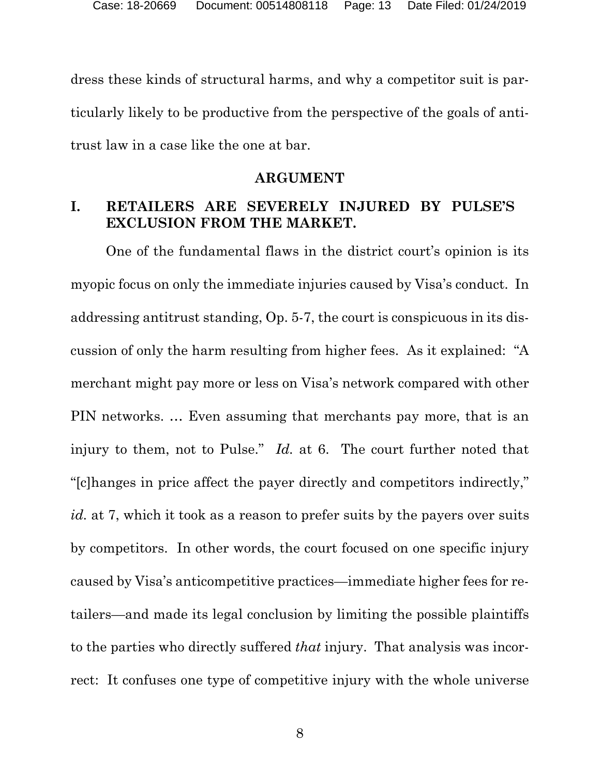dress these kinds of structural harms, and why a competitor suit is particularly likely to be productive from the perspective of the goals of antitrust law in a case like the one at bar.

#### **ARGUMENT**

## **I. RETAILERS ARE SEVERELY INJURED BY PULSE'S EXCLUSION FROM THE MARKET.**

One of the fundamental flaws in the district court's opinion is its myopic focus on only the immediate injuries caused by Visa's conduct. In addressing antitrust standing, Op. 5-7, the court is conspicuous in its discussion of only the harm resulting from higher fees. As it explained: "A merchant might pay more or less on Visa's network compared with other PIN networks. … Even assuming that merchants pay more, that is an injury to them, not to Pulse." *Id.* at 6. The court further noted that "[c]hanges in price affect the payer directly and competitors indirectly," *id.* at 7, which it took as a reason to prefer suits by the payers over suits by competitors. In other words, the court focused on one specific injury caused by Visa's anticompetitive practices—immediate higher fees for retailers—and made its legal conclusion by limiting the possible plaintiffs to the parties who directly suffered *that* injury. That analysis was incorrect: It confuses one type of competitive injury with the whole universe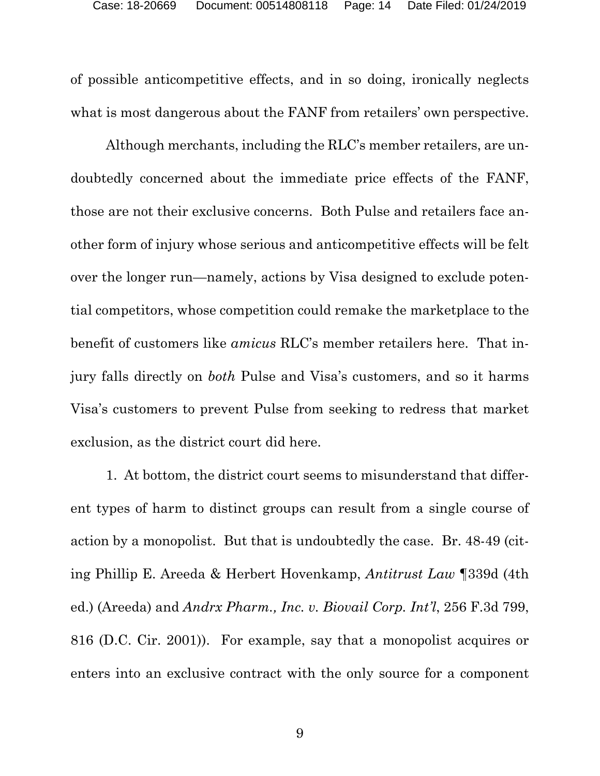of possible anticompetitive effects, and in so doing, ironically neglects what is most dangerous about the FANF from retailers' own perspective.

Although merchants, including the RLC's member retailers, are undoubtedly concerned about the immediate price effects of the FANF, those are not their exclusive concerns. Both Pulse and retailers face another form of injury whose serious and anticompetitive effects will be felt over the longer run—namely, actions by Visa designed to exclude potential competitors, whose competition could remake the marketplace to the benefit of customers like *amicus* RLC's member retailers here. That injury falls directly on *both* Pulse and Visa's customers, and so it harms Visa's customers to prevent Pulse from seeking to redress that market exclusion, as the district court did here.

1. At bottom, the district court seems to misunderstand that different types of harm to distinct groups can result from a single course of action by a monopolist. But that is undoubtedly the case. Br. 48-49 (citing Phillip E. Areeda & Herbert Hovenkamp, *Antitrust Law* ¶339d (4th ed.) (Areeda) and *Andrx Pharm., Inc. v. Biovail Corp. Int'l*, 256 F.3d 799, 816 (D.C. Cir. 2001)). For example, say that a monopolist acquires or enters into an exclusive contract with the only source for a component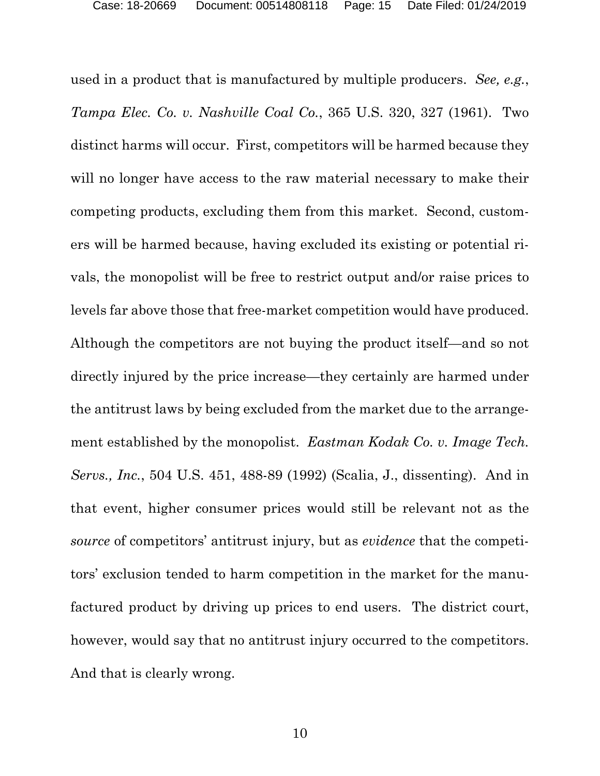used in a product that is manufactured by multiple producers. *See, e.g.*, *Tampa Elec. Co. v. Nashville Coal Co.*, 365 U.S. 320, 327 (1961).Two distinct harms will occur. First, competitors will be harmed because they will no longer have access to the raw material necessary to make their competing products, excluding them from this market. Second, customers will be harmed because, having excluded its existing or potential rivals, the monopolist will be free to restrict output and/or raise prices to levels far above those that free-market competition would have produced. Although the competitors are not buying the product itself—and so not directly injured by the price increase—they certainly are harmed under the antitrust laws by being excluded from the market due to the arrangement established by the monopolist. *Eastman Kodak Co. v. Image Tech. Servs., Inc.*, 504 U.S. 451, 488-89 (1992) (Scalia, J., dissenting). And in that event, higher consumer prices would still be relevant not as the *source* of competitors' antitrust injury, but as *evidence* that the competitors' exclusion tended to harm competition in the market for the manufactured product by driving up prices to end users. The district court, however, would say that no antitrust injury occurred to the competitors. And that is clearly wrong.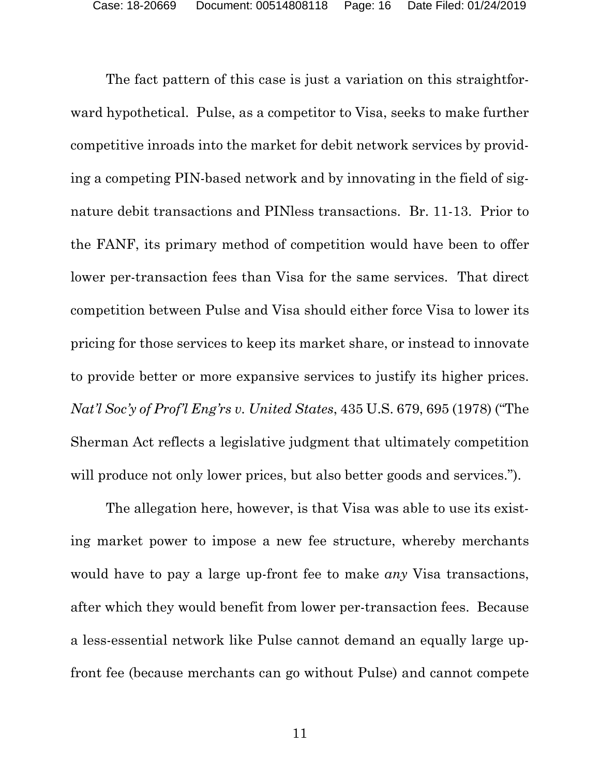The fact pattern of this case is just a variation on this straightforward hypothetical. Pulse, as a competitor to Visa, seeks to make further competitive inroads into the market for debit network services by providing a competing PIN-based network and by innovating in the field of signature debit transactions and PINless transactions. Br. 11-13. Prior to the FANF, its primary method of competition would have been to offer lower per-transaction fees than Visa for the same services. That direct competition between Pulse and Visa should either force Visa to lower its pricing for those services to keep its market share, or instead to innovate to provide better or more expansive services to justify its higher prices. *Nat'l Soc'y of Prof'l Eng'rs v. United States*, 435 U.S. 679, 695 (1978) ("The Sherman Act reflects a legislative judgment that ultimately competition will produce not only lower prices, but also better goods and services.").

The allegation here, however, is that Visa was able to use its existing market power to impose a new fee structure, whereby merchants would have to pay a large up-front fee to make *any* Visa transactions, after which they would benefit from lower per-transaction fees. Because a less-essential network like Pulse cannot demand an equally large upfront fee (because merchants can go without Pulse) and cannot compete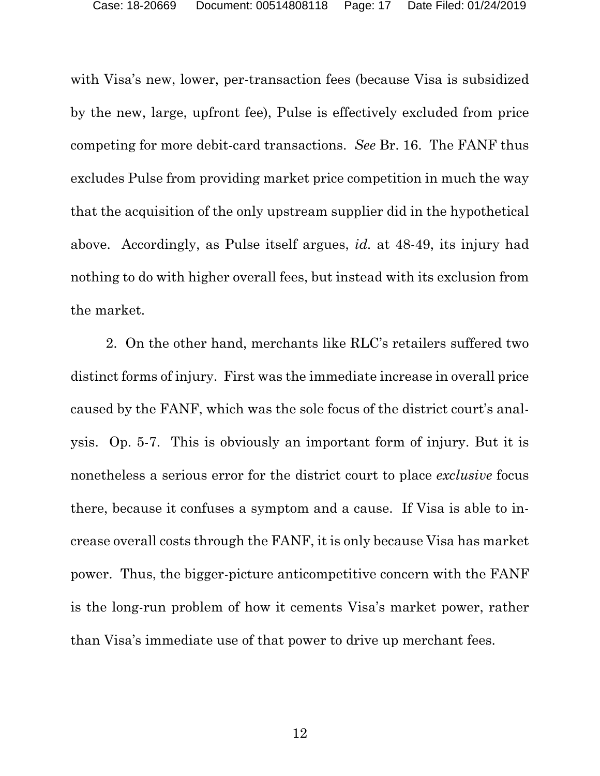with Visa's new, lower, per-transaction fees (because Visa is subsidized by the new, large, upfront fee), Pulse is effectively excluded from price competing for more debit-card transactions. *See* Br. 16. The FANF thus excludes Pulse from providing market price competition in much the way that the acquisition of the only upstream supplier did in the hypothetical above. Accordingly, as Pulse itself argues, *id.* at 48-49, its injury had nothing to do with higher overall fees, but instead with its exclusion from the market.

2. On the other hand, merchants like RLC's retailers suffered two distinct forms of injury. First was the immediate increase in overall price caused by the FANF, which was the sole focus of the district court's analysis. Op. 5-7. This is obviously an important form of injury. But it is nonetheless a serious error for the district court to place *exclusive* focus there, because it confuses a symptom and a cause. If Visa is able to increase overall costs through the FANF, it is only because Visa has market power. Thus, the bigger-picture anticompetitive concern with the FANF is the long-run problem of how it cements Visa's market power, rather than Visa's immediate use of that power to drive up merchant fees.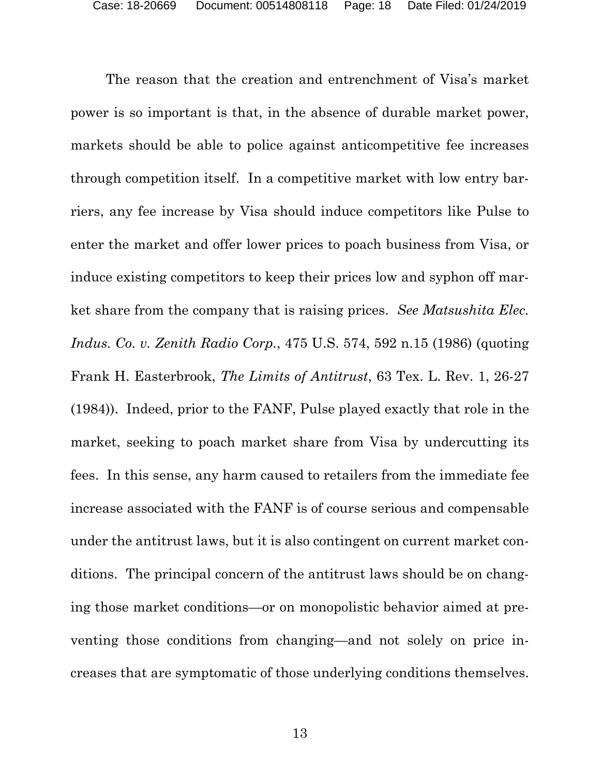The reason that the creation and entrenchment of Visa's market power is so important is that, in the absence of durable market power, markets should be able to police against anticompetitive fee increases through competition itself. In a competitive market with low entry barriers, any fee increase by Visa should induce competitors like Pulse to enter the market and offer lower prices to poach business from Visa, or induce existing competitors to keep their prices low and syphon off market share from the company that is raising prices. *See Matsushita Elec. Indus. Co. v. Zenith Radio Corp.*, 475 U.S. 574, 592 n.15 (1986) (quoting Frank H. Easterbrook, *The Limits of Antitrust*, 63 Tex. L. Rev. 1, 26-27 (1984)). Indeed, prior to the FANF, Pulse played exactly that role in the market, seeking to poach market share from Visa by undercutting its fees. In this sense, any harm caused to retailers from the immediate fee increase associated with the FANF is of course serious and compensable under the antitrust laws, but it is also contingent on current market conditions. The principal concern of the antitrust laws should be on changing those market conditions—or on monopolistic behavior aimed at preventing those conditions from changing—and not solely on price increases that are symptomatic of those underlying conditions themselves.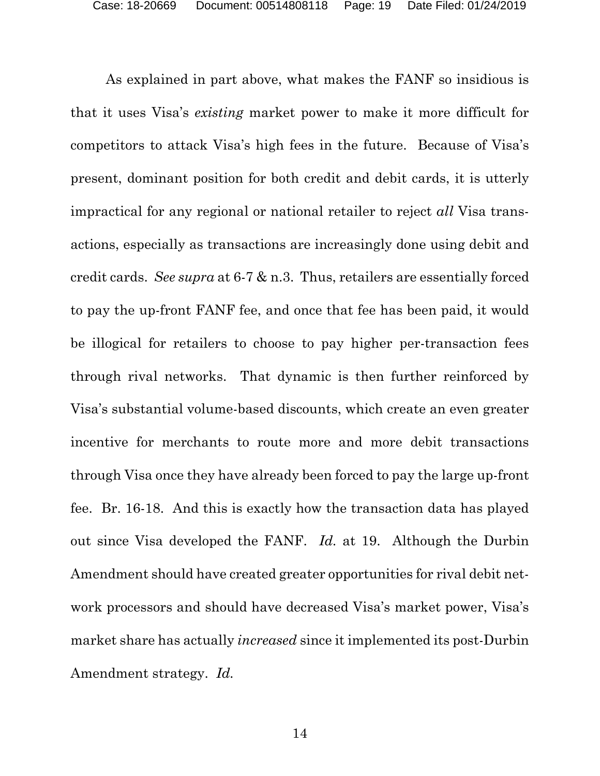As explained in part above, what makes the FANF so insidious is that it uses Visa's *existing* market power to make it more difficult for competitors to attack Visa's high fees in the future. Because of Visa's present, dominant position for both credit and debit cards, it is utterly impractical for any regional or national retailer to reject *all* Visa transactions, especially as transactions are increasingly done using debit and credit cards. *See supra* at 6-7 & n.3. Thus, retailers are essentially forced to pay the up-front FANF fee, and once that fee has been paid, it would be illogical for retailers to choose to pay higher per-transaction fees through rival networks. That dynamic is then further reinforced by Visa's substantial volume-based discounts, which create an even greater incentive for merchants to route more and more debit transactions through Visa once they have already been forced to pay the large up-front fee. Br. 16-18. And this is exactly how the transaction data has played out since Visa developed the FANF. *Id.* at 19. Although the Durbin Amendment should have created greater opportunities for rival debit network processors and should have decreased Visa's market power, Visa's market share has actually *increased* since it implemented its post-Durbin Amendment strategy. *Id.*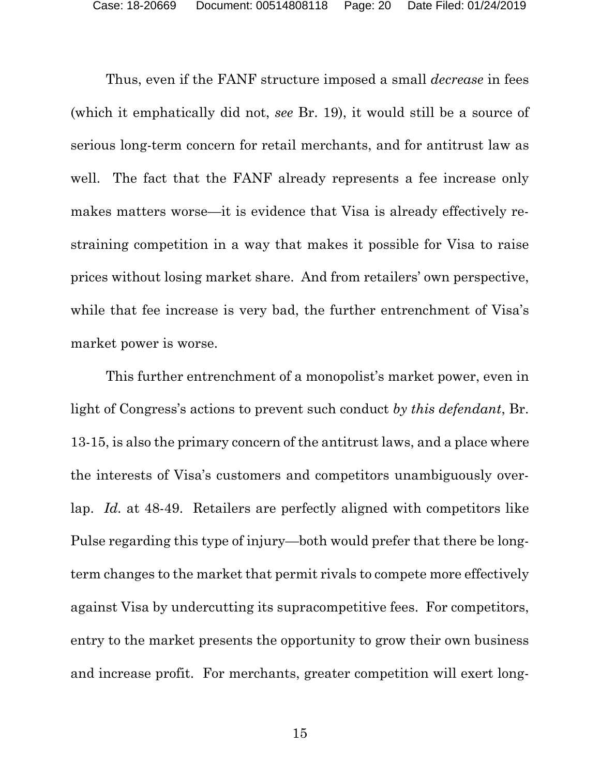Thus, even if the FANF structure imposed a small *decrease* in fees (which it emphatically did not, *see* Br. 19), it would still be a source of serious long-term concern for retail merchants, and for antitrust law as well. The fact that the FANF already represents a fee increase only makes matters worse—it is evidence that Visa is already effectively restraining competition in a way that makes it possible for Visa to raise prices without losing market share. And from retailers' own perspective, while that fee increase is very bad, the further entrenchment of Visa's market power is worse.

This further entrenchment of a monopolist's market power, even in light of Congress's actions to prevent such conduct *by this defendant*, Br. 13-15, is also the primary concern of the antitrust laws, and a place where the interests of Visa's customers and competitors unambiguously overlap. *Id.* at 48-49. Retailers are perfectly aligned with competitors like Pulse regarding this type of injury—both would prefer that there be longterm changes to the market that permit rivals to compete more effectively against Visa by undercutting its supracompetitive fees. For competitors, entry to the market presents the opportunity to grow their own business and increase profit. For merchants, greater competition will exert long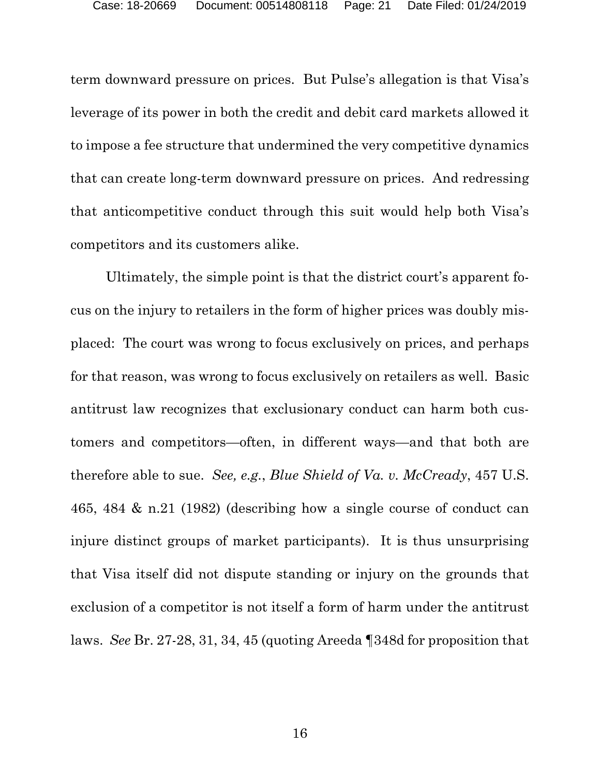term downward pressure on prices. But Pulse's allegation is that Visa's leverage of its power in both the credit and debit card markets allowed it to impose a fee structure that undermined the very competitive dynamics that can create long-term downward pressure on prices. And redressing that anticompetitive conduct through this suit would help both Visa's competitors and its customers alike.

Ultimately, the simple point is that the district court's apparent focus on the injury to retailers in the form of higher prices was doubly misplaced: The court was wrong to focus exclusively on prices, and perhaps for that reason, was wrong to focus exclusively on retailers as well. Basic antitrust law recognizes that exclusionary conduct can harm both customers and competitors—often, in different ways—and that both are therefore able to sue. *See, e.g.*, *Blue Shield of Va. v. McCready*, 457 U.S. 465, 484 & n.21 (1982) (describing how a single course of conduct can injure distinct groups of market participants). It is thus unsurprising that Visa itself did not dispute standing or injury on the grounds that exclusion of a competitor is not itself a form of harm under the antitrust laws. *See* Br. 27-28, 31, 34, 45 (quoting Areeda ¶348d for proposition that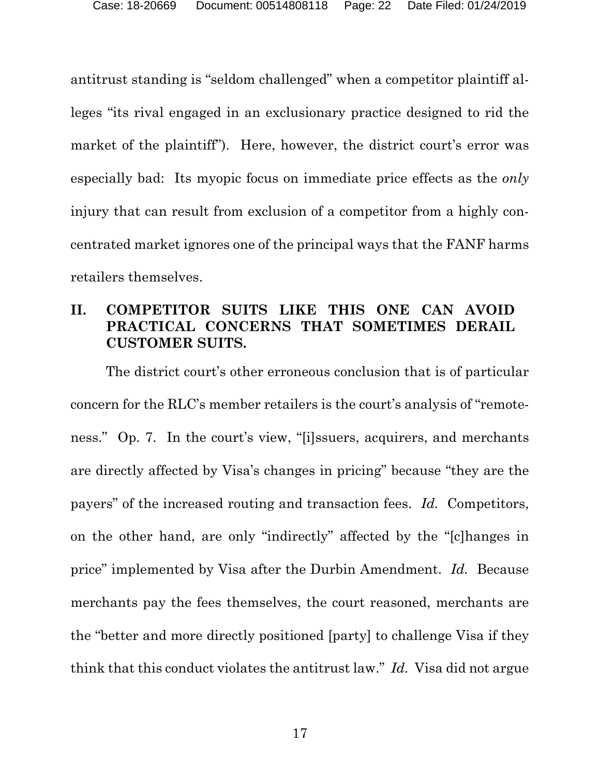antitrust standing is "seldom challenged" when a competitor plaintiff alleges "its rival engaged in an exclusionary practice designed to rid the market of the plaintiff"). Here, however, the district court's error was especially bad: Its myopic focus on immediate price effects as the *only* injury that can result from exclusion of a competitor from a highly concentrated market ignores one of the principal ways that the FANF harms retailers themselves.

## **II. COMPETITOR SUITS LIKE THIS ONE CAN AVOID PRACTICAL CONCERNS THAT SOMETIMES DERAIL CUSTOMER SUITS.**

The district court's other erroneous conclusion that is of particular concern for the RLC's member retailers is the court's analysis of "remoteness." Op. 7. In the court's view, "[i]ssuers, acquirers, and merchants are directly affected by Visa's changes in pricing" because "they are the payers" of the increased routing and transaction fees. *Id.* Competitors, on the other hand, are only "indirectly" affected by the "[c]hanges in price" implemented by Visa after the Durbin Amendment. *Id.* Because merchants pay the fees themselves, the court reasoned, merchants are the "better and more directly positioned [party] to challenge Visa if they think that this conduct violates the antitrust law." *Id.* Visa did not argue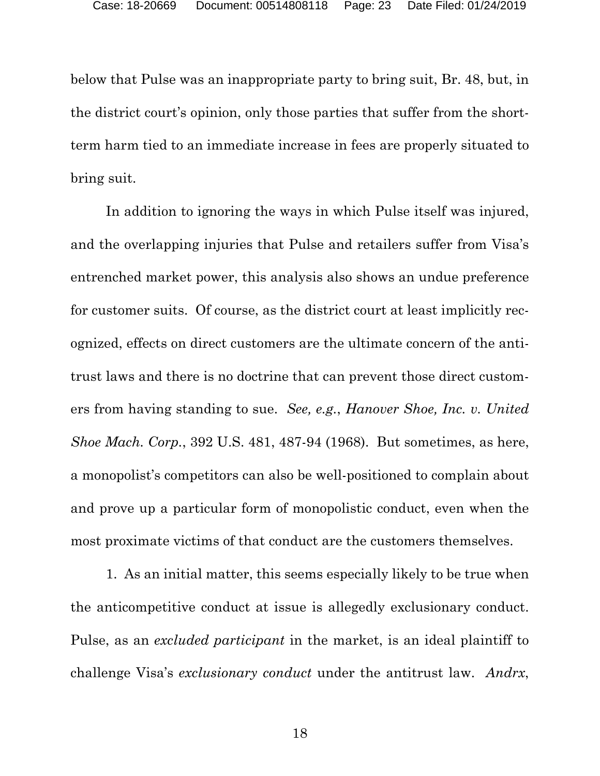below that Pulse was an inappropriate party to bring suit, Br. 48, but, in the district court's opinion, only those parties that suffer from the shortterm harm tied to an immediate increase in fees are properly situated to bring suit.

In addition to ignoring the ways in which Pulse itself was injured, and the overlapping injuries that Pulse and retailers suffer from Visa's entrenched market power, this analysis also shows an undue preference for customer suits. Of course, as the district court at least implicitly recognized, effects on direct customers are the ultimate concern of the antitrust laws and there is no doctrine that can prevent those direct customers from having standing to sue. *See, e.g.*, *Hanover Shoe, Inc. v. United Shoe Mach. Corp.*, 392 U.S. 481, 487-94 (1968). But sometimes, as here, a monopolist's competitors can also be well-positioned to complain about and prove up a particular form of monopolistic conduct, even when the most proximate victims of that conduct are the customers themselves.

1. As an initial matter, this seems especially likely to be true when the anticompetitive conduct at issue is allegedly exclusionary conduct. Pulse, as an *excluded participant* in the market, is an ideal plaintiff to challenge Visa's *exclusionary conduct* under the antitrust law. *Andrx*,

18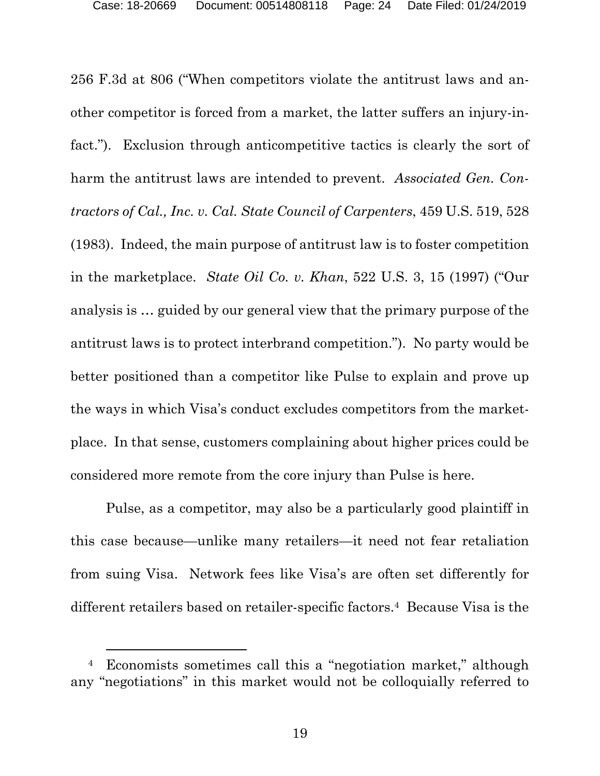256 F.3d at 806 ("When competitors violate the antitrust laws and another competitor is forced from a market, the latter suffers an injury-infact."). Exclusion through anticompetitive tactics is clearly the sort of harm the antitrust laws are intended to prevent. *Associated Gen. Contractors of Cal., Inc. v. Cal. State Council of Carpenters*, 459 U.S. 519, 528 (1983). Indeed, the main purpose of antitrust law is to foster competition in the marketplace. *State Oil Co. v. Khan*, 522 U.S. 3, 15 (1997) ("Our analysis is … guided by our general view that the primary purpose of the antitrust laws is to protect interbrand competition."). No party would be better positioned than a competitor like Pulse to explain and prove up the ways in which Visa's conduct excludes competitors from the marketplace. In that sense, customers complaining about higher prices could be considered more remote from the core injury than Pulse is here.

Pulse, as a competitor, may also be a particularly good plaintiff in this case because—unlike many retailers—it need not fear retaliation from suing Visa. Network fees like Visa's are often set differently for different retailers based on retailer-specific factors.4 Because Visa is the

 <sup>4</sup> Economists sometimes call this a "negotiation market," although any "negotiations" in this market would not be colloquially referred to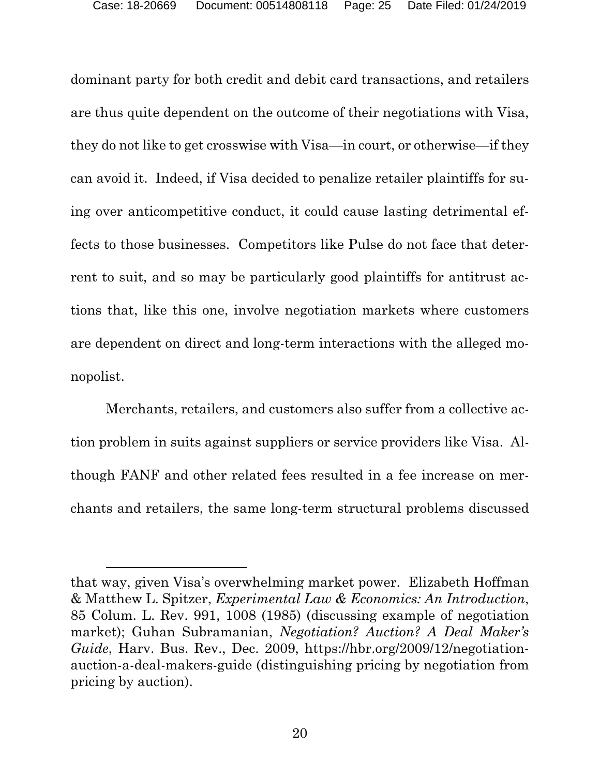dominant party for both credit and debit card transactions, and retailers are thus quite dependent on the outcome of their negotiations with Visa, they do not like to get crosswise with Visa—in court, or otherwise—if they can avoid it. Indeed, if Visa decided to penalize retailer plaintiffs for suing over anticompetitive conduct, it could cause lasting detrimental effects to those businesses. Competitors like Pulse do not face that deterrent to suit, and so may be particularly good plaintiffs for antitrust actions that, like this one, involve negotiation markets where customers are dependent on direct and long-term interactions with the alleged monopolist.

Merchants, retailers, and customers also suffer from a collective action problem in suits against suppliers or service providers like Visa. Although FANF and other related fees resulted in a fee increase on merchants and retailers, the same long-term structural problems discussed

-

that way, given Visa's overwhelming market power. Elizabeth Hoffman & Matthew L. Spitzer, *Experimental Law & Economics: An Introduction*, 85 Colum. L. Rev. 991, 1008 (1985) (discussing example of negotiation market); Guhan Subramanian, *Negotiation? Auction? A Deal Maker's Guide*, Harv. Bus. Rev., Dec. 2009, https://hbr.org/2009/12/negotiationauction-a-deal-makers-guide (distinguishing pricing by negotiation from pricing by auction).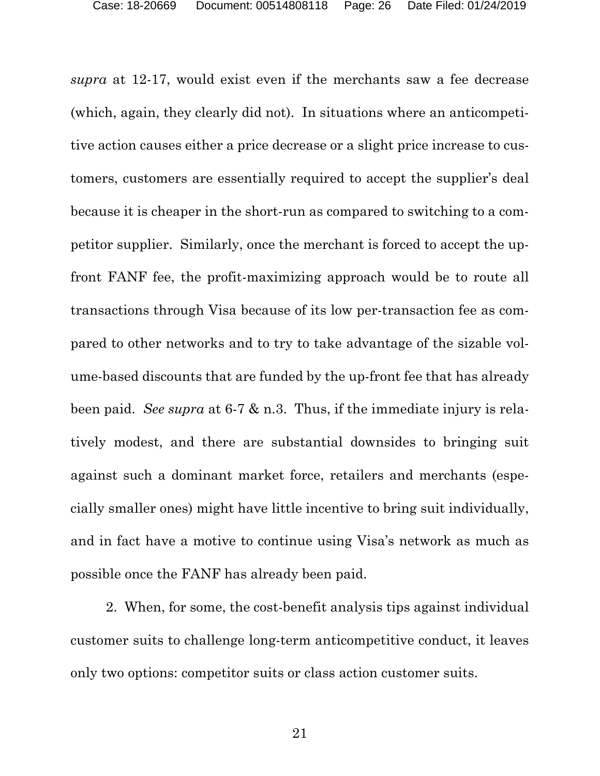*supra* at 12-17, would exist even if the merchants saw a fee decrease (which, again, they clearly did not). In situations where an anticompetitive action causes either a price decrease or a slight price increase to customers, customers are essentially required to accept the supplier's deal because it is cheaper in the short-run as compared to switching to a competitor supplier. Similarly, once the merchant is forced to accept the upfront FANF fee, the profit-maximizing approach would be to route all transactions through Visa because of its low per-transaction fee as compared to other networks and to try to take advantage of the sizable volume-based discounts that are funded by the up-front fee that has already been paid. *See supra* at 6-7 & n.3. Thus, if the immediate injury is relatively modest, and there are substantial downsides to bringing suit against such a dominant market force, retailers and merchants (especially smaller ones) might have little incentive to bring suit individually, and in fact have a motive to continue using Visa's network as much as possible once the FANF has already been paid.

2. When, for some, the cost-benefit analysis tips against individual customer suits to challenge long-term anticompetitive conduct, it leaves only two options: competitor suits or class action customer suits.

21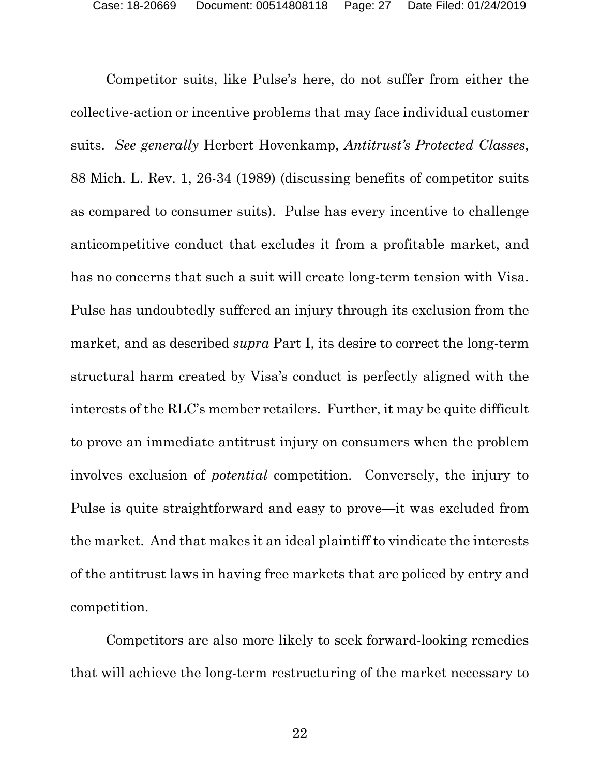Competitor suits, like Pulse's here, do not suffer from either the collective-action or incentive problems that may face individual customer suits. *See generally* Herbert Hovenkamp, *Antitrust's Protected Classes*, 88 Mich. L. Rev. 1, 26-34 (1989) (discussing benefits of competitor suits as compared to consumer suits). Pulse has every incentive to challenge anticompetitive conduct that excludes it from a profitable market, and has no concerns that such a suit will create long-term tension with Visa. Pulse has undoubtedly suffered an injury through its exclusion from the market, and as described *supra* Part I, its desire to correct the long-term structural harm created by Visa's conduct is perfectly aligned with the interests of the RLC's member retailers. Further, it may be quite difficult to prove an immediate antitrust injury on consumers when the problem involves exclusion of *potential* competition. Conversely, the injury to Pulse is quite straightforward and easy to prove—it was excluded from the market. And that makes it an ideal plaintiff to vindicate the interests of the antitrust laws in having free markets that are policed by entry and competition.

 Competitors are also more likely to seek forward-looking remedies that will achieve the long-term restructuring of the market necessary to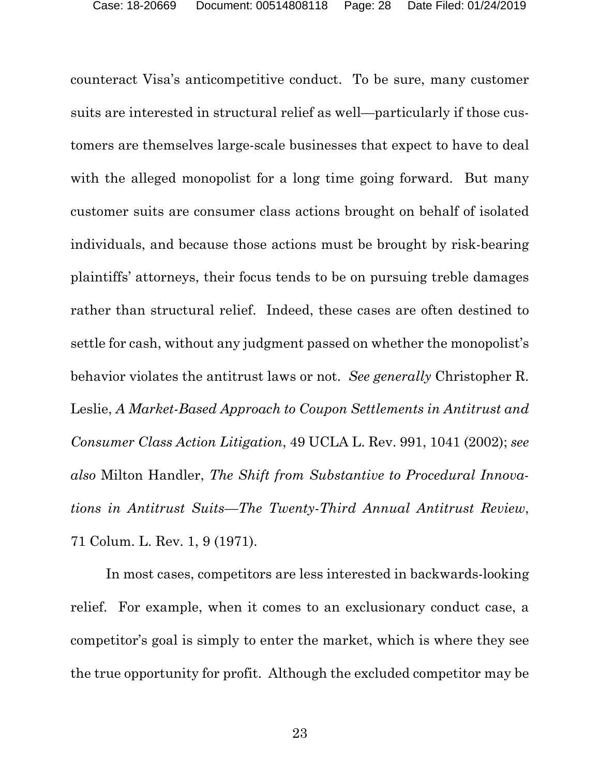counteract Visa's anticompetitive conduct. To be sure, many customer suits are interested in structural relief as well—particularly if those customers are themselves large-scale businesses that expect to have to deal with the alleged monopolist for a long time going forward. But many customer suits are consumer class actions brought on behalf of isolated individuals, and because those actions must be brought by risk-bearing plaintiffs' attorneys, their focus tends to be on pursuing treble damages rather than structural relief. Indeed, these cases are often destined to settle for cash, without any judgment passed on whether the monopolist's behavior violates the antitrust laws or not. *See generally* Christopher R. Leslie, *A Market-Based Approach to Coupon Settlements in Antitrust and Consumer Class Action Litigation*, 49 UCLA L. Rev. 991, 1041 (2002); *see also* Milton Handler, *The Shift from Substantive to Procedural Innovations in Antitrust Suits—The Twenty-Third Annual Antitrust Review*, 71 Colum. L. Rev. 1, 9 (1971).

In most cases, competitors are less interested in backwards-looking relief. For example, when it comes to an exclusionary conduct case, a competitor's goal is simply to enter the market, which is where they see the true opportunity for profit. Although the excluded competitor may be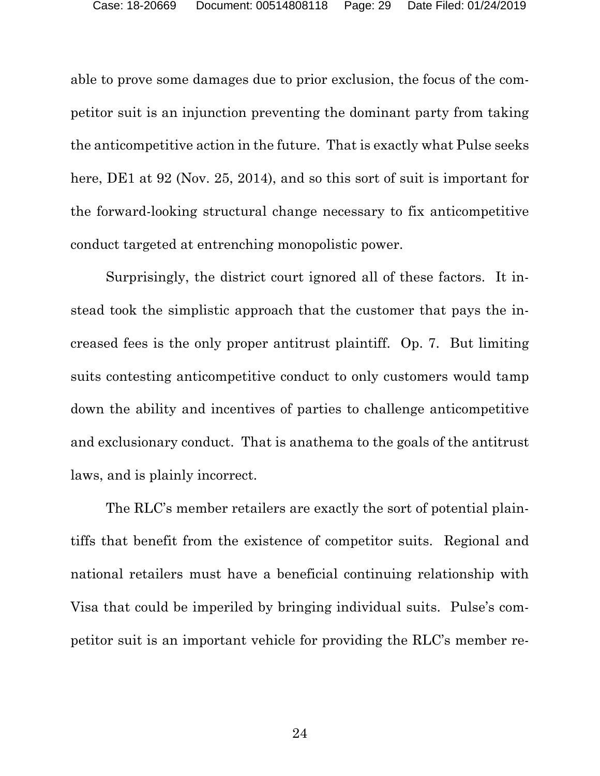able to prove some damages due to prior exclusion, the focus of the competitor suit is an injunction preventing the dominant party from taking the anticompetitive action in the future. That is exactly what Pulse seeks here, DE1 at 92 (Nov. 25, 2014), and so this sort of suit is important for the forward-looking structural change necessary to fix anticompetitive conduct targeted at entrenching monopolistic power.

 Surprisingly, the district court ignored all of these factors. It instead took the simplistic approach that the customer that pays the increased fees is the only proper antitrust plaintiff. Op. 7. But limiting suits contesting anticompetitive conduct to only customers would tamp down the ability and incentives of parties to challenge anticompetitive and exclusionary conduct. That is anathema to the goals of the antitrust laws, and is plainly incorrect.

The RLC's member retailers are exactly the sort of potential plaintiffs that benefit from the existence of competitor suits. Regional and national retailers must have a beneficial continuing relationship with Visa that could be imperiled by bringing individual suits. Pulse's competitor suit is an important vehicle for providing the RLC's member re-

24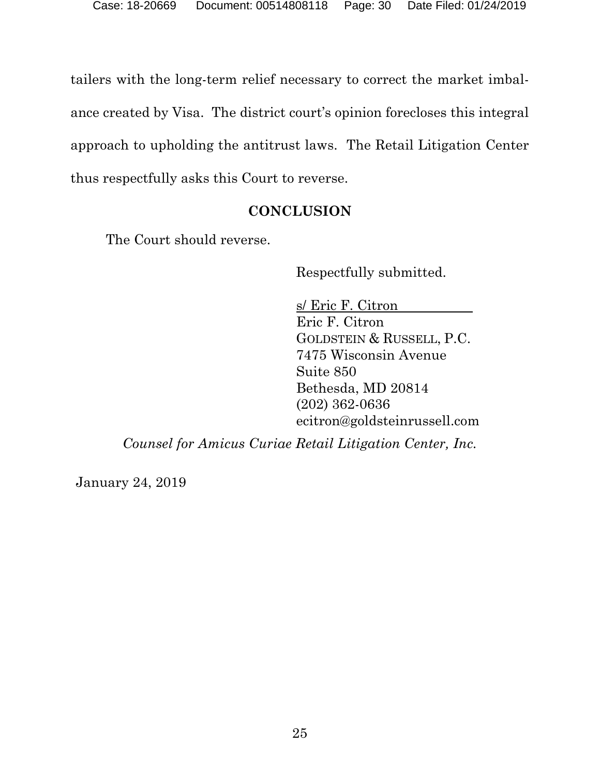tailers with the long-term relief necessary to correct the market imbalance created by Visa. The district court's opinion forecloses this integral approach to upholding the antitrust laws. The Retail Litigation Center thus respectfully asks this Court to reverse.

## **CONCLUSION**

The Court should reverse.

Respectfully submitted.

 s/ Eric F. Citron Eric F. Citron GOLDSTEIN & RUSSELL, P.C. 7475 Wisconsin Avenue Suite 850 Bethesda, MD 20814 (202) 362-0636 ecitron@goldsteinrussell.com

*Counsel for Amicus Curiae Retail Litigation Center, Inc.* 

January 24, 2019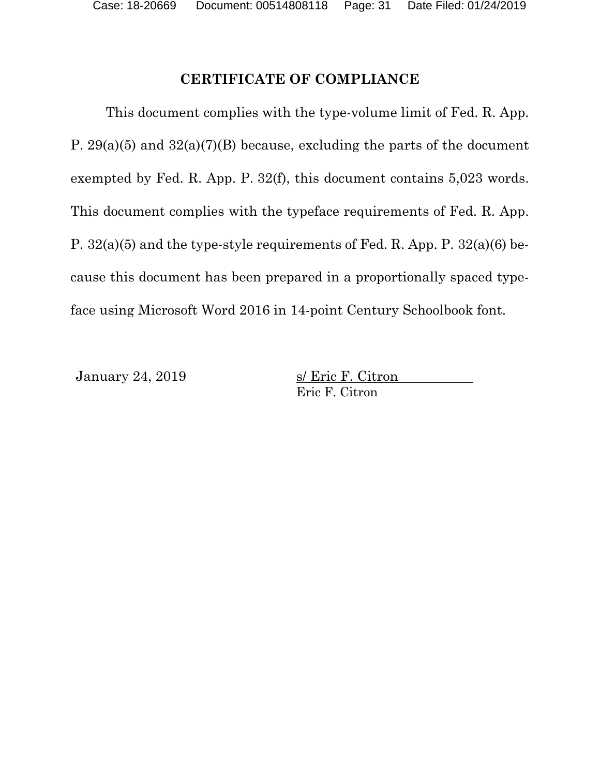## **CERTIFICATE OF COMPLIANCE**

This document complies with the type-volume limit of Fed. R. App. P.  $29(a)(5)$  and  $32(a)(7)(B)$  because, excluding the parts of the document exempted by Fed. R. App. P. 32(f), this document contains 5,023 words. This document complies with the typeface requirements of Fed. R. App. P. 32(a)(5) and the type-style requirements of Fed. R. App. P. 32(a)(6) because this document has been prepared in a proportionally spaced typeface using Microsoft Word 2016 in 14-point Century Schoolbook font.

January 24, 2019 s/ Eric F. Citron Eric F. Citron